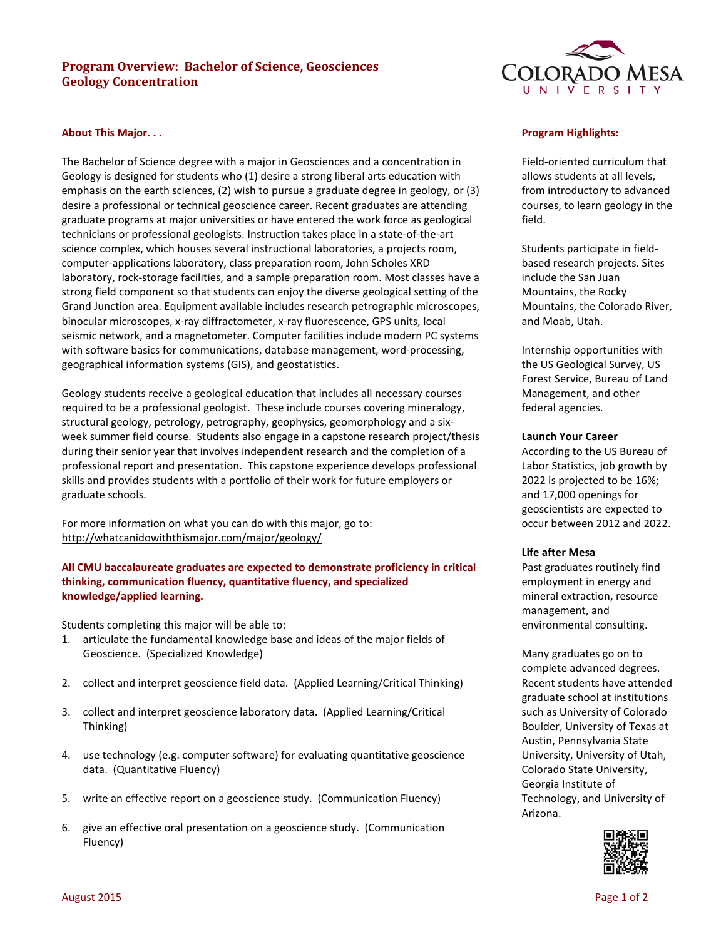# **Program Overview: Bachelor of Science, Geosciences Geology Concentration**



### **About This Major. . .**

The Bachelor of Science degree with a major in Geosciences and a concentration in Geology is designed for students who (1) desire a strong liberal arts education with emphasis on the earth sciences, (2) wish to pursue a graduate degree in geology, or (3) desire a professional or technical geoscience career. Recent graduates are attending graduate programs at major universities or have entered the work force as geological technicians or professional geologists. Instruction takes place in a state-of-the-art science complex, which houses several instructional laboratories, a projects room, computer-applications laboratory, class preparation room, John Scholes XRD laboratory, rock-storage facilities, and a sample preparation room. Most classes have a strong field component so that students can enjoy the diverse geological setting of the Grand Junction area. Equipment available includes research petrographic microscopes, binocular microscopes, x-ray diffractometer, x-ray fluorescence, GPS units, local seismic network, and a magnetometer. Computer facilities include modern PC systems with software basics for communications, database management, word-processing, geographical information systems (GIS), and geostatistics.

Geology students receive a geological education that includes all necessary courses required to be a professional geologist. These include courses covering mineralogy, structural geology, petrology, petrography, geophysics, geomorphology and a sixweek summer field course. Students also engage in a capstone research project/thesis during their senior year that involves independent research and the completion of a professional report and presentation. This capstone experience develops professional skills and provides students with a portfolio of their work for future employers or graduate schools.

For more information on what you can do with this major, go to: http://whatcanidowiththismajor.com/major/geology/

**All CMU baccalaureate graduates are expected to demonstrate proficiency in critical thinking, communication fluency, quantitative fluency, and specialized knowledge/applied learning.** 

Students completing this major will be able to:

- 1. articulate the fundamental knowledge base and ideas of the major fields of Geoscience. (Specialized Knowledge)
- 2. collect and interpret geoscience field data. (Applied Learning/Critical Thinking)
- 3. collect and interpret geoscience laboratory data. (Applied Learning/Critical Thinking)
- 4. use technology (e.g. computer software) for evaluating quantitative geoscience data. (Quantitative Fluency)
- 5. write an effective report on a geoscience study. (Communication Fluency)
- 6. give an effective oral presentation on a geoscience study. (Communication Fluency)

## **Program Highlights:**

Field-oriented curriculum that allows students at all levels, from introductory to advanced courses, to learn geology in the field.

Students participate in fieldbased research projects. Sites include the San Juan Mountains, the Rocky Mountains, the Colorado River, and Moab, Utah.

Internship opportunities with the US Geological Survey, US Forest Service, Bureau of Land Management, and other federal agencies.

#### **Launch Your Career**

According to the US Bureau of Labor Statistics, job growth by 2022 is projected to be 16%; and 17,000 openings for geoscientists are expected to occur between 2012 and 2022.

#### **Life after Mesa**

Past graduates routinely find employment in energy and mineral extraction, resource management, and environmental consulting.

Many graduates go on to complete advanced degrees. Recent students have attended graduate school at institutions such as University of Colorado Boulder, University of Texas at Austin, Pennsylvania State University, University of Utah, Colorado State University, Georgia Institute of Technology, and University of Arizona.